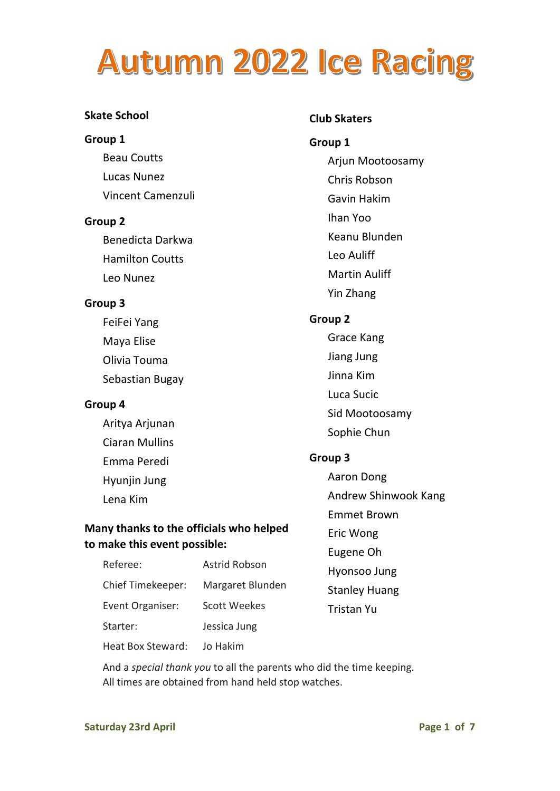### **Skate School**

### **Group 1**

Beau Coutts Lucas Nunez Vincent Camenzuli

### **Group 2**

Benedicta Darkwa Hamilton Coutts Leo Nunez

### **Group 3**

FeiFei Yang Maya Elise Olivia Touma Sebastian Bugay

### **Group 4**

Aritya Arjunan Ciaran Mullins Emma Peredi Hyunjin Jung Lena Kim

### **Many thanks to the officials who helped to make this event possible:**

| Referee:          | <b>Astrid Robson</b> |
|-------------------|----------------------|
| Chief Timekeeper: | Margaret Blunden     |
| Event Organiser:  | <b>Scott Weekes</b>  |
| Starter:          | Jessica Jung         |
| Heat Box Steward: | Jo Hakim             |

And a *special thank you* to all the parents who did the time keeping. All times are obtained from hand held stop watches.

### **Club Skaters**

**Group 1**  Arjun Mootoosamy Chris Robson Gavin Hakim Ihan Yoo Keanu Blunden Leo Auliff Martin Auliff Yin Zhang **Group 2**  Grace Kang Jiang Jung Jinna Kim Luca Sucic Sid Mootoosamy

Sophie Chun

### **Group 3**

- Aaron Dong
- Andrew Shinwook Kang
- Emmet Brown
- Eric Wong
- Eugene Oh
- Hyonsoo Jung

### Stanley Huang Tristan Yu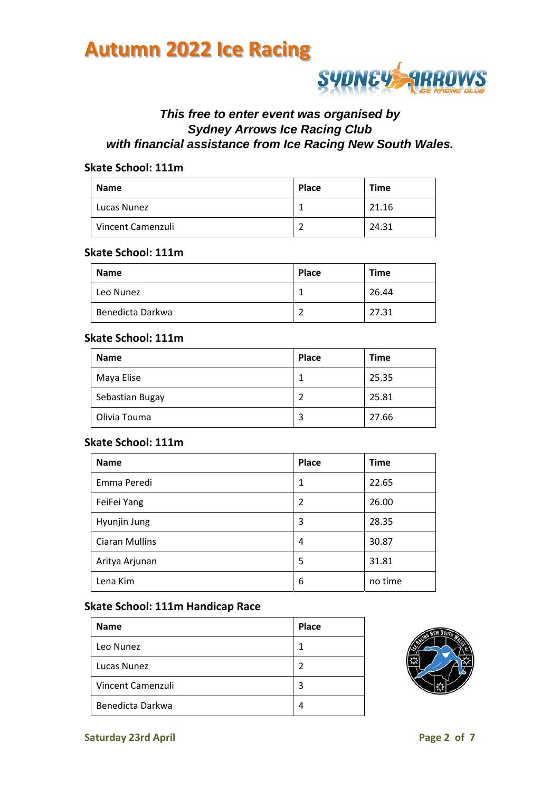

### *This free to enter event was organised by Sydney Arrows Ice Racing Club with financial assistance from Ice Racing New South Wales.*

#### **Skate School: 111m**

| Name              | Place | <b>Time</b> |
|-------------------|-------|-------------|
| Lucas Nunez       |       | 21.16       |
| Vincent Camenzuli |       | 24.31       |

### **Skate School: 111m**

| <b>Name</b>      | <b>Place</b> | <b>Time</b> |
|------------------|--------------|-------------|
| Leo Nunez        |              | 26.44       |
| Benedicta Darkwa | -            | 27.31       |

### **Skate School: 111m**

| <b>Name</b>     | Place | <b>Time</b> |
|-----------------|-------|-------------|
| Maya Elise      |       | 25.35       |
| Sebastian Bugay |       | 25.81       |
| Olivia Touma    |       | 27.66       |

#### **Skate School: 111m**

| <b>Name</b>           | <b>Place</b> | <b>Time</b> |
|-----------------------|--------------|-------------|
| Emma Peredi           | 1            | 22.65       |
| FeiFei Yang           | 2            | 26.00       |
| Hyunjin Jung          | 3            | 28.35       |
| <b>Ciaran Mullins</b> | 4            | 30.87       |
| Aritya Arjunan        | 5            | 31.81       |
| Lena Kim              | 6            | no time     |

### **Skate School: 111m Handicap Race**

| <b>Name</b>       | <b>Place</b> |
|-------------------|--------------|
| Leo Nunez         | 1            |
| Lucas Nunez       | 2            |
| Vincent Camenzuli | 3            |
| Benedicta Darkwa  | 4            |

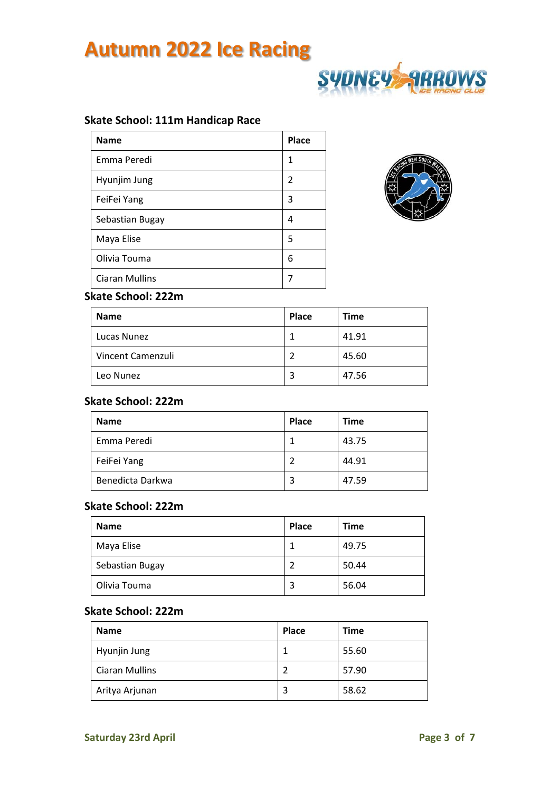

### **Skate School: 111m Handicap Race**

| <b>Name</b>           | Place |
|-----------------------|-------|
| Emma Peredi           | 1     |
| Hyunjim Jung          | 2     |
| FeiFei Yang           | 3     |
| Sebastian Bugay       | 4     |
| Maya Elise            | 5     |
| Olivia Touma          | 6     |
| <b>Ciaran Mullins</b> |       |



### **Skate School: 222m**

| <b>Name</b>       | <b>Place</b> | <b>Time</b> |
|-------------------|--------------|-------------|
| Lucas Nunez       |              | 41.91       |
| Vincent Camenzuli |              | 45.60       |
| Leo Nunez         | 3            | 47.56       |

### **Skate School: 222m**

| <b>Name</b>      | <b>Place</b> | <b>Time</b> |
|------------------|--------------|-------------|
| Emma Peredi      |              | 43.75       |
| FeiFei Yang      |              | 44.91       |
| Benedicta Darkwa | 3            | 47.59       |

#### **Skate School: 222m**

| <b>Name</b>     | Place | Time  |
|-----------------|-------|-------|
| Maya Elise      |       | 49.75 |
| Sebastian Bugay |       | 50.44 |
| Olivia Touma    |       | 56.04 |

#### **Skate School: 222m**

| <b>Name</b>           | Place | <b>Time</b> |
|-----------------------|-------|-------------|
| Hyunjin Jung          |       | 55.60       |
| <b>Ciaran Mullins</b> |       | 57.90       |
| Aritya Arjunan        |       | 58.62       |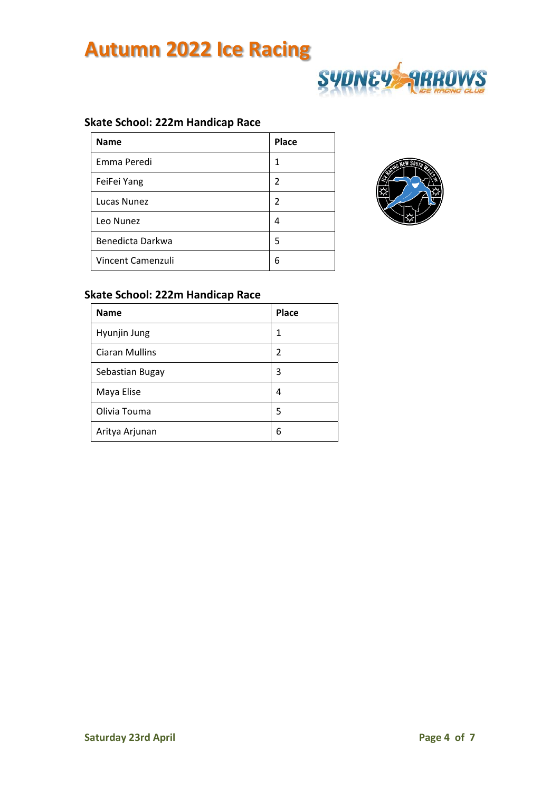

### **Skate School: 222m Handicap Race**

| <b>Name</b>       | Place |
|-------------------|-------|
| Emma Peredi       | 1     |
| FeiFei Yang       | 2     |
| Lucas Nunez       | 2     |
| Leo Nunez         | 4     |
| Benedicta Darkwa  | 5     |
| Vincent Camenzuli | 6     |



### **Skate School: 222m Handicap Race**

| <b>Name</b>           | <b>Place</b> |
|-----------------------|--------------|
| Hyunjin Jung          | 1            |
| <b>Ciaran Mullins</b> | 2            |
| Sebastian Bugay       | 3            |
| Maya Elise            | 4            |
| Olivia Touma          | 5            |
| Aritya Arjunan        | 6            |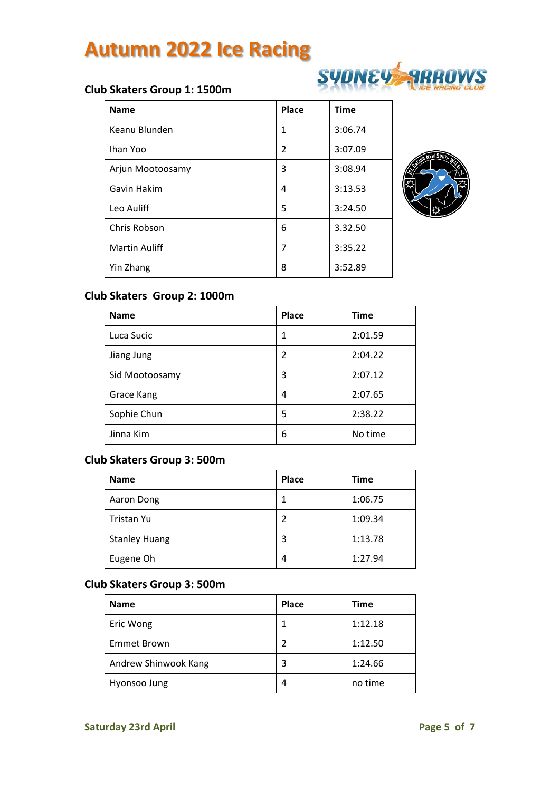## **SYDNEY ARROWS**

### **Club Skaters Group 1: 1500m**

| <b>Name</b>      | <b>Place</b>   | <b>Time</b> |
|------------------|----------------|-------------|
| Keanu Blunden    | 1              | 3:06.74     |
| Ihan Yoo         | $\overline{2}$ | 3:07.09     |
| Arjun Mootoosamy | 3              | 3:08.94     |
| Gavin Hakim      | 4              | 3:13.53     |
| Leo Auliff       | 5              | 3:24.50     |
| Chris Robson     | 6              | 3.32.50     |
| Martin Auliff    | 7              | 3:35.22     |
| Yin Zhang        | 8              | 3:52.89     |



### **Club Skaters Group 2: 1000m**

| <b>Name</b>    | Place         | <b>Time</b> |
|----------------|---------------|-------------|
| Luca Sucic     | 1             | 2:01.59     |
| Jiang Jung     | $\mathfrak z$ | 2:04.22     |
| Sid Mootoosamy | 3             | 2:07.12     |
| Grace Kang     | 4             | 2:07.65     |
| Sophie Chun    | 5             | 2:38.22     |
| Jinna Kim      | 6             | No time     |

### **Club Skaters Group 3: 500m**

| <b>Name</b>          | Place | <b>Time</b> |
|----------------------|-------|-------------|
| Aaron Dong           |       | 1:06.75     |
| Tristan Yu           | 2     | 1:09.34     |
| <b>Stanley Huang</b> | 3     | 1:13.78     |
| Eugene Oh            | 4     | 1:27.94     |

### **Club Skaters Group 3: 500m**

| <b>Name</b>          | <b>Place</b> | Time    |
|----------------------|--------------|---------|
| Eric Wong            |              | 1:12.18 |
| <b>Emmet Brown</b>   |              | 1:12.50 |
| Andrew Shinwook Kang | 3            | 1:24.66 |
| Hyonsoo Jung         | 4            | no time |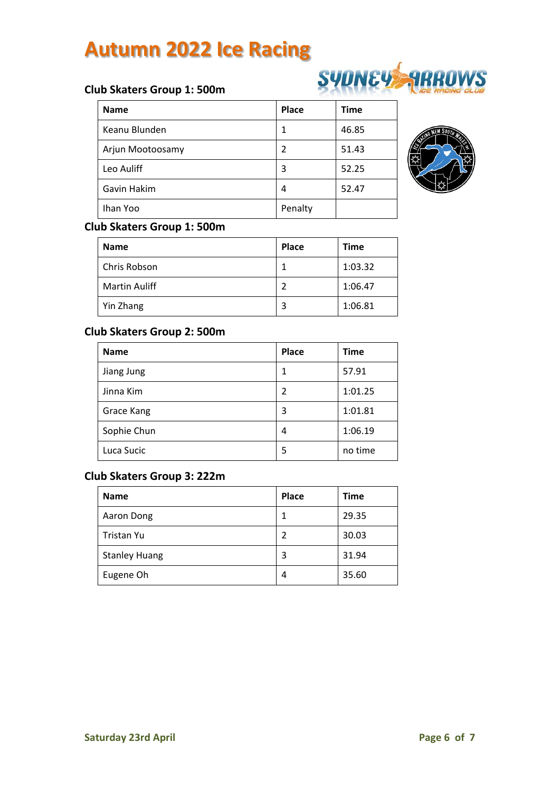## **SYDNEY ARROWS**

### **Club Skaters Group 1: 500m**

| <b>Name</b>      | Place   | <b>Time</b> |
|------------------|---------|-------------|
| Keanu Blunden    |         | 46.85       |
| Arjun Mootoosamy | 2       | 51.43       |
| Leo Auliff       | 3       | 52.25       |
| Gavin Hakim      | 4       | 52.47       |
| Ihan Yoo         | Penalty |             |



### **Club Skaters Group 1: 500m**

| <b>Name</b>          | Place | Time    |
|----------------------|-------|---------|
| Chris Robson         |       | 1:03.32 |
| <b>Martin Auliff</b> | 2     | 1:06.47 |
| Yin Zhang            | 3     | 1:06.81 |

### **Club Skaters Group 2: 500m**

| <b>Name</b> | <b>Place</b>   | Time    |
|-------------|----------------|---------|
| Jiang Jung  | 1              | 57.91   |
| Jinna Kim   | $\overline{2}$ | 1:01.25 |
| Grace Kang  | 3              | 1:01.81 |
| Sophie Chun | 4              | 1:06.19 |
| Luca Sucic  | 5              | no time |

### **Club Skaters Group 3: 222m**

| <b>Name</b>          | <b>Place</b> | <b>Time</b> |
|----------------------|--------------|-------------|
| Aaron Dong           |              | 29.35       |
| Tristan Yu           | 2            | 30.03       |
| <b>Stanley Huang</b> | 3            | 31.94       |
| Eugene Oh            | 4            | 35.60       |